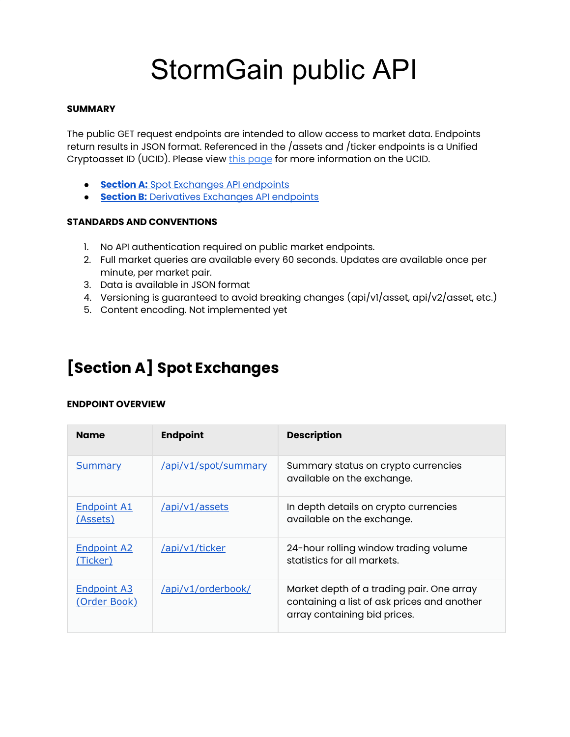# StormGain public API

# **SUMMARY**

The public GET request endpoints are intended to allow access to market data. Endpoints return results in JSON format. Referenced in the /assets and /ticker endpoints is a Unified Cryptoasset ID (UCID). Please vie[w](https://docs.google.com/document/d/1a5JfNE8aXusvfZBnEokwzp1-vGNJ_SPo-jIXhfnnEYE/edit) this [page](https://docs.google.com/document/d/1a5JfNE8aXusvfZBnEokwzp1-vGNJ_SPo-jIXhfnnEYE/edit) for more information on the UCID.

- **[Section](#page-0-0) A:** Spot [Exchanges](#page-0-0) API endpoints
- **[Section](#page-8-0) B:** [Derivatives](#page-8-0) Exchanges API endpoints

# **STANDARDS AND CONVENTIONS**

- 1. No API authentication required on public market endpoints.
- 2. Full market queries are available every 60 seconds. Updates are available once per minute, per market pair.
- 3. Data is available in JSON format
- 4. Versioning is guaranteed to avoid breaking changes (api/v1/asset, api/v2/asset, etc.)
- 5. Content encoding. Not implemented yet

# <span id="page-0-0"></span>**[Section A] Spot Exchanges**

# **ENDPOINT OVERVIEW**

| <b>Name</b>                           | <b>Endpoint</b>      | <b>Description</b>                                                                                                       |
|---------------------------------------|----------------------|--------------------------------------------------------------------------------------------------------------------------|
| <b>Summary</b>                        | /api/v1/spot/summary | Summary status on crypto currencies<br>available on the exchange.                                                        |
| <b>Endpoint A1</b><br><u>(Assets)</u> | /api/v1/assets       | In depth details on crypto currencies<br>available on the exchange.                                                      |
| <b>Endpoint A2</b><br>(Ticker)        | /api/v1/ticker       | 24-hour rolling window trading volume<br>statistics for all markets.                                                     |
| <b>Endpoint A3</b><br>(Order Book)    | /api/v1/orderbook/   | Market depth of a trading pair. One array<br>containing a list of ask prices and another<br>array containing bid prices. |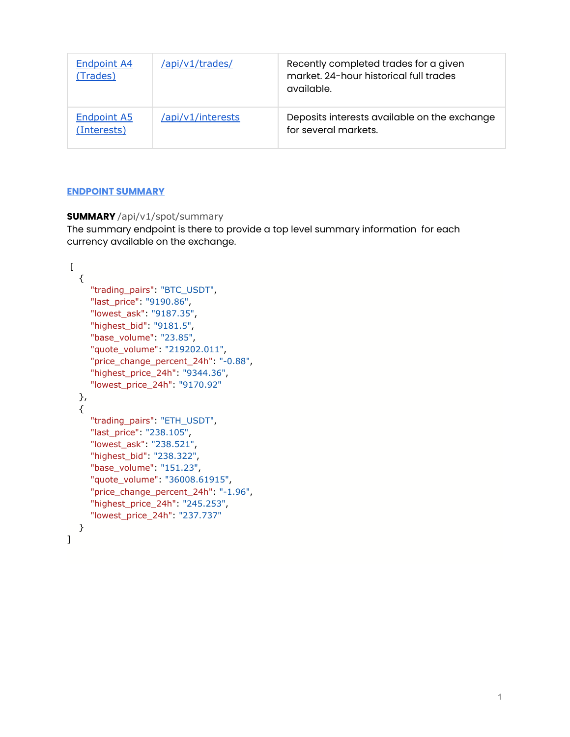| <b>Endpoint A4</b><br>(Trades)    | /api/v1/trades/   | Recently completed trades for a given<br>market. 24-hour historical full trades<br>available. |
|-----------------------------------|-------------------|-----------------------------------------------------------------------------------------------|
| <b>Endpoint A5</b><br>(Interests) | /api/v1/interests | Deposits interests available on the exchange<br>for several markets.                          |

# <span id="page-1-0"></span>**ENDPOINT SUMMARY**

# **SUMMARY** /api/v1/spot/summary

The summary endpoint is there to provide a top level summary information for each currency available on the exchange.

```
\Gamma {
      "trading_pairs": "BTC_USDT",
      "last_price": "9190.86",
      "lowest_ask": "9187.35",
      "highest_bid": "9181.5",
      "base_volume": "23.85",
      "quote_volume": "219202.011",
      "price_change_percent_24h": "-0.88",
      "highest_price_24h": "9344.36",
      "lowest_price_24h": "9170.92"
   },
   {
      "trading_pairs": "ETH_USDT",
      "last_price": "238.105",
      "lowest_ask": "238.521",
      "highest_bid": "238.322",
      "base_volume": "151.23",
      "quote_volume": "36008.61915",
      "price_change_percent_24h": "-1.96",
      "highest_price_24h": "245.253",
      "lowest_price_24h": "237.737"
   }
]
```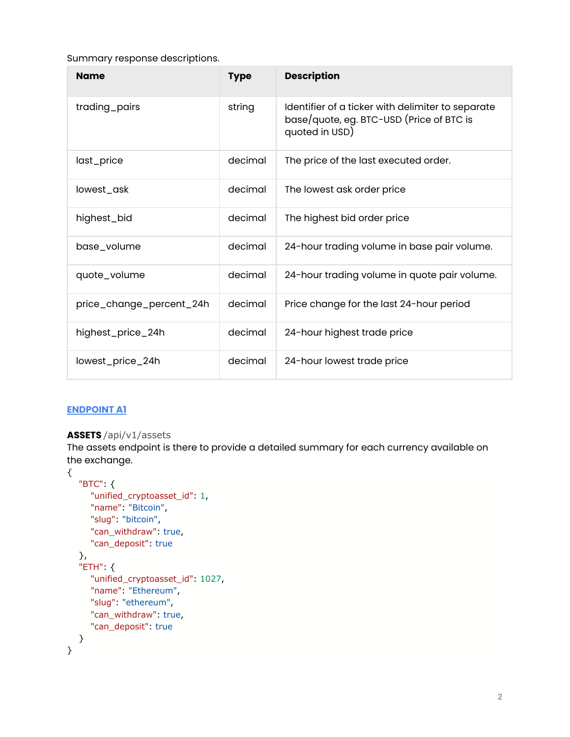Summary response descriptions.

| <b>Name</b>              | <b>Type</b> | <b>Description</b>                                                                                              |
|--------------------------|-------------|-----------------------------------------------------------------------------------------------------------------|
| trading_pairs            | string      | Identifier of a ticker with delimiter to separate<br>base/quote, eg. BTC-USD (Price of BTC is<br>quoted in USD) |
| last_price               | decimal     | The price of the last executed order.                                                                           |
| lowest_ask               | decimal     | The lowest ask order price                                                                                      |
| highest_bid              | decimal     | The highest bid order price                                                                                     |
| base_volume              | decimal     | 24-hour trading volume in base pair volume.                                                                     |
| quote_volume             | decimal     | 24-hour trading volume in quote pair volume.                                                                    |
| price_change_percent_24h | decimal     | Price change for the last 24-hour period                                                                        |
| highest_price_24h        | decimal     | 24-hour highest trade price                                                                                     |
| lowest_price_24h         | decimal     | 24-hour lowest trade price                                                                                      |

# <span id="page-2-0"></span>**ENDPOINT A1**

# **ASSETS** /api/v1/assets

The assets endpoint is there to provide a detailed summary for each currency available on the exchange.

```
{
   "BTC": {
      "unified_cryptoasset_id": 1,
      "name": "Bitcoin",
      "slug": "bitcoin",
      "can_withdraw": true,
     "can_deposit": true
   },
   "ETH": {
      "unified_cryptoasset_id": 1027,
      "name": "Ethereum",
      "slug": "ethereum",
      "can_withdraw": true,
      "can_deposit": true
   }
}
```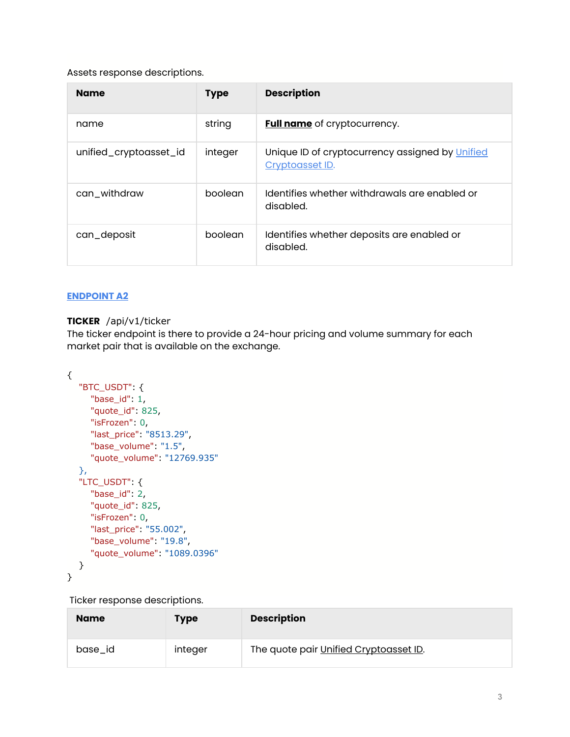# Assets response descriptions.

| <b>Name</b>            | <b>Type</b> | <b>Description</b>                                                 |
|------------------------|-------------|--------------------------------------------------------------------|
| name                   | string      | <b>Full name</b> of cryptocurrency.                                |
| unified_cryptoasset_id | integer     | Unique ID of cryptocurrency assigned by Unified<br>Cryptoasset ID. |
| can_withdraw           | boolean     | Identifies whether withdrawals are enabled or<br>disabled.         |
| can_deposit            | boolean     | Identifies whether deposits are enabled or<br>disabled.            |

# <span id="page-3-0"></span>**ENDPOINT A2**

# **TICKER** /api/v1/ticker

The ticker endpoint is there to provide a 24-hour pricing and volume summary for each market pair that is available on the exchange.

```
{
   "BTC_USDT": {
      "base_id": 1,
      "quote_id": 825,
      "isFrozen": 0,
      "last_price": "8513.29",
      "base_volume": "1.5",
      "quote_volume": "12769.935"
   },
   "LTC_USDT": {
      "base_id": 2,
      "quote_id": 825,
      "isFrozen": 0,
      "last_price": "55.002",
      "base_volume": "19.8",
      "quote_volume": "1089.0396"
   }
}
```
Ticker response descriptions.

| <b>Name</b> | <b>Type</b> | <b>Description</b>                     |
|-------------|-------------|----------------------------------------|
| base_id     | integer     | The quote pair Unified Cryptoasset ID. |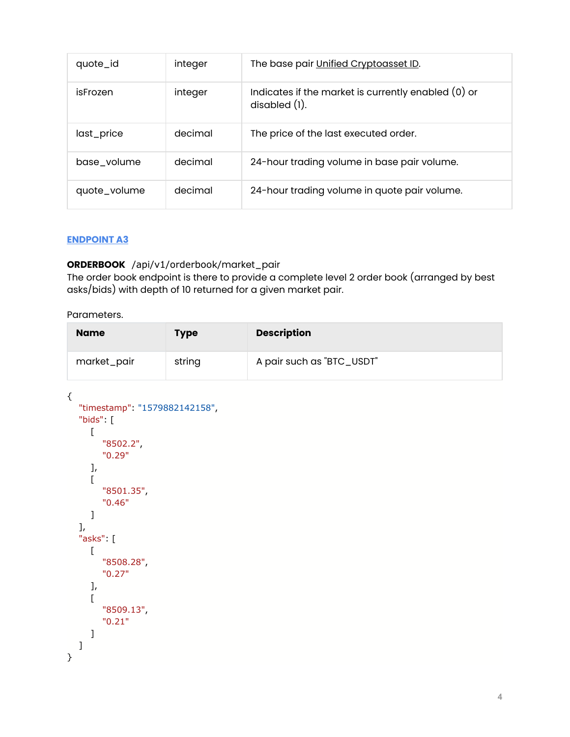| quote_id     | integer | The base pair Unified Cryptoasset ID.                                   |
|--------------|---------|-------------------------------------------------------------------------|
| isFrozen     | integer | Indicates if the market is currently enabled (0) or<br>$disabeled(1)$ . |
| last_price   | decimal | The price of the last executed order.                                   |
| base_volume  | decimal | 24-hour trading volume in base pair volume.                             |
| quote_volume | decimal | 24-hour trading volume in quote pair volume.                            |

# <span id="page-4-0"></span>**ENDPOINT A3**

# **ORDERBOOK** /api/v1/orderbook/market\_pair

The order book endpoint is there to provide a complete level 2 order book (arranged by best asks/bids) with depth of 10 returned for a given market pair.

Parameters.

| <b>Name</b> | <b>Type</b> | <b>Description</b>        |
|-------------|-------------|---------------------------|
| market_pair | string      | A pair such as "BTC_USDT" |

```
{
    "timestamp": "1579882142158",
    "bids": [
      \overline{[} "8502.2",
           "0.29"
       ],
      \lceil "8501.35",
           "0.46"
       ]
    ],
    "asks": [
      \Gamma "8508.28",
           "0.27"
       ],
      \lbrack "8509.13",
           "0.21"
       ]
    ]
}
```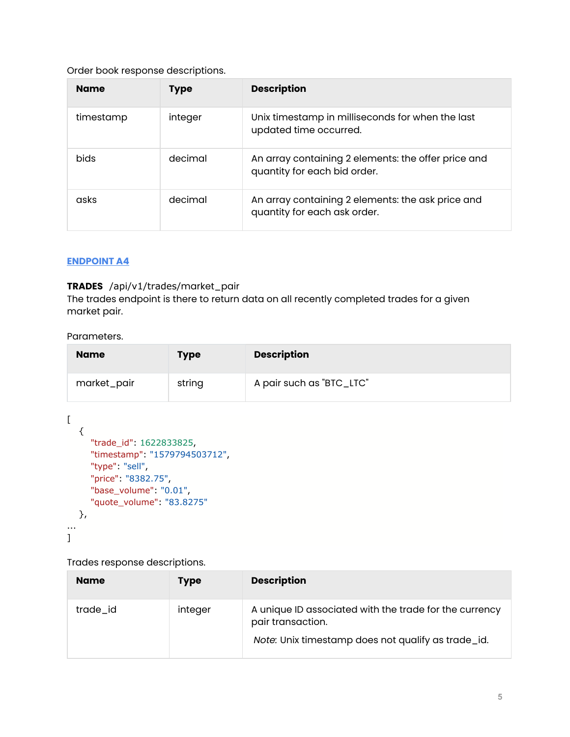# Order book response descriptions.

| <b>Name</b> | <b>Type</b> | <b>Description</b>                                                                  |
|-------------|-------------|-------------------------------------------------------------------------------------|
| timestamp   | integer     | Unix timestamp in milliseconds for when the last<br>updated time occurred.          |
| <b>bids</b> | decimal     | An array containing 2 elements: the offer price and<br>quantity for each bid order. |
| asks        | decimal     | An array containing 2 elements: the ask price and<br>quantity for each ask order.   |

# <span id="page-5-0"></span>**ENDPOINT A4**

# **TRADES** /api/v1/trades/market\_pair

The trades endpoint is there to return data on all recently completed trades for a given market pair.

#### Parameters.

| <b>Name</b> | <b>Type</b> | <b>Description</b>       |
|-------------|-------------|--------------------------|
| market_pair | string      | A pair such as "BTC_LTC" |

```
[
   {
      "trade_id": 1622833825,
      "timestamp": "1579794503712",
      "type": "sell",
      "price": "8382.75",
      "base_volume": "0.01",
      "quote_volume": "83.8275"
   },
...
]
```
Trades response descriptions.

| <b>Name</b> | <b>Type</b> | <b>Description</b>                                                          |
|-------------|-------------|-----------------------------------------------------------------------------|
| trade_id    | integer     | A unique ID associated with the trade for the currency<br>pair transaction. |
|             |             | Note: Unix timestamp does not qualify as trade_id.                          |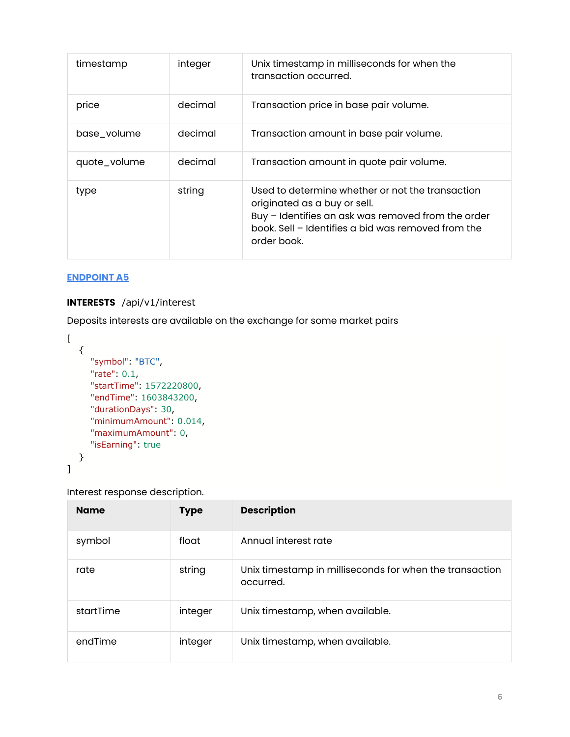| timestamp    | integer | Unix timestamp in milliseconds for when the<br>transaction occurred.                                                                                                                                        |
|--------------|---------|-------------------------------------------------------------------------------------------------------------------------------------------------------------------------------------------------------------|
| price        | decimal | Transaction price in base pair volume.                                                                                                                                                                      |
| base_volume  | decimal | Transaction amount in base pair volume.                                                                                                                                                                     |
| quote_volume | decimal | Transaction amount in quote pair volume.                                                                                                                                                                    |
| type         | string  | Used to determine whether or not the transaction<br>originated as a buy or sell.<br>Buy - Identifies an ask was removed from the order<br>book. Sell - Identifies a bid was removed from the<br>order book. |

# <span id="page-6-0"></span>**ENDPOINT A5**

# **INTERESTS** /api/v1/interest

Deposits interests are available on the exchange for some market pairs

```
\overline{[} {
      "symbol": "BTC",
      "rate": 0.1,
      "startTime": 1572220800,
      "endTime": 1603843200,
      "durationDays": 30,
      "minimumAmount": 0.014,
      "maximumAmount": 0,
      "isEarning": true
   }
]
```
Interest response description.

| <b>Name</b> | <b>Type</b> | <b>Description</b>                                                   |
|-------------|-------------|----------------------------------------------------------------------|
| symbol      | float       | Annual interest rate                                                 |
| rate        | string      | Unix timestamp in milliseconds for when the transaction<br>occurred. |
| startTime   | integer     | Unix timestamp, when available.                                      |
| endTime     | integer     | Unix timestamp, when available.                                      |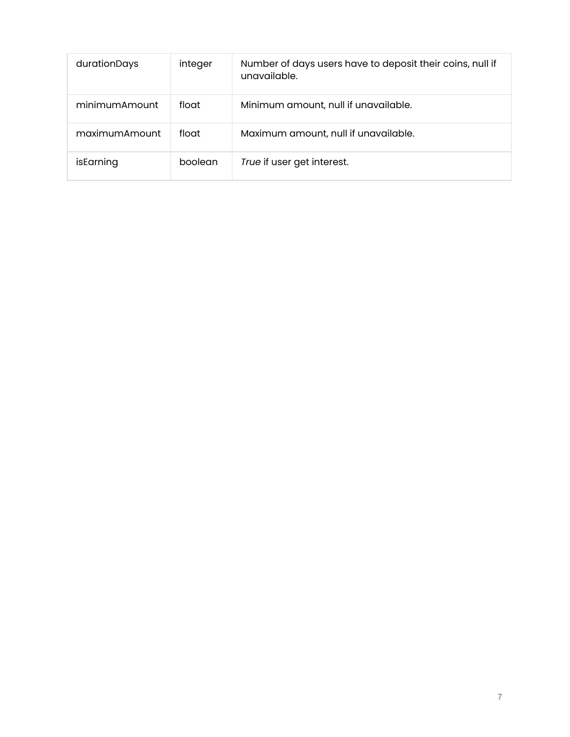| durationDays  | integer | Number of days users have to deposit their coins, null if<br>unavailable. |
|---------------|---------|---------------------------------------------------------------------------|
| minimumAmount | float   | Minimum amount, null if unavailable.                                      |
| maximumAmount | float   | Maximum amount, null if unavailable.                                      |
| isEarning     | boolean | True if user get interest.                                                |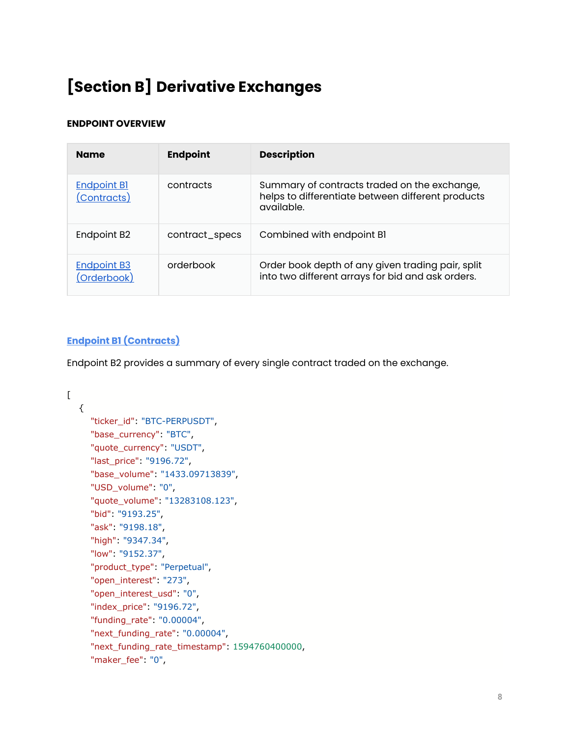# <span id="page-8-0"></span>**[Section B] Derivative Exchanges**

# **ENDPOINT OVERVIEW**

| <b>Name</b>                       | <b>Endpoint</b> | <b>Description</b>                                                                                              |
|-----------------------------------|-----------------|-----------------------------------------------------------------------------------------------------------------|
| <b>Endpoint Bl</b><br>(Contracts) | contracts       | Summary of contracts traded on the exchange,<br>helps to differentiate between different products<br>available. |
| Endpoint B <sub>2</sub>           | contract_specs  | Combined with endpoint B1                                                                                       |
| <b>Endpoint B3</b><br>(Orderbook) | orderbook       | Order book depth of any given trading pair, split<br>into two different arrays for bid and ask orders.          |

# <span id="page-8-1"></span>**Endpoint B1 (Contracts)**

Endpoint B2 provides a summary of every single contract traded on the exchange.

```
\Gamma {
      "ticker_id": "BTC-PERPUSDT",
      "base_currency": "BTC",
      "quote_currency": "USDT",
      "last_price": "9196.72",
      "base_volume": "1433.09713839",
      "USD_volume": "0",
      "quote_volume": "13283108.123",
      "bid": "9193.25",
      "ask": "9198.18",
      "high": "9347.34",
      "low": "9152.37",
      "product_type": "Perpetual",
      "open_interest": "273",
      "open_interest_usd": "0",
      "index_price": "9196.72",
      "funding_rate": "0.00004",
      "next_funding_rate": "0.00004",
      "next_funding_rate_timestamp": 1594760400000,
      "maker_fee": "0",
```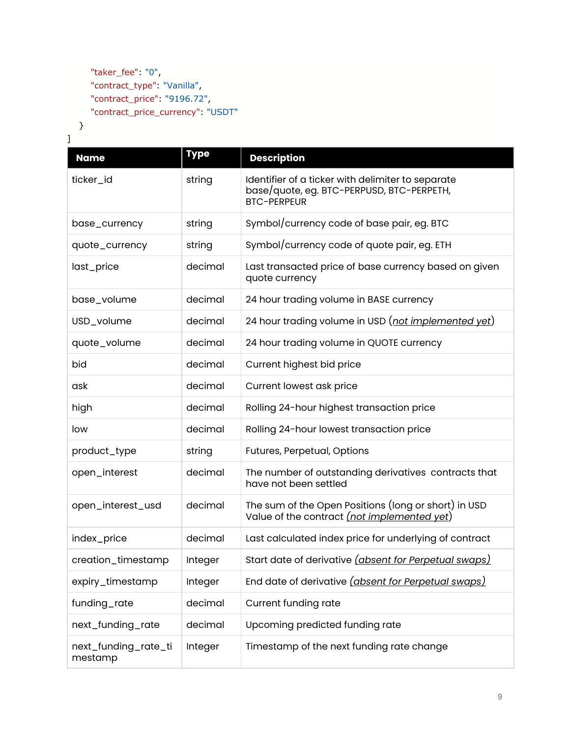```
 "taker_fee": "0",
 "contract_type": "Vanilla",
 "contract_price": "9196.72",
 "contract_price_currency": "USDT"
```
 } ]

| <b>Name</b>                     | <b>Type</b> | <b>Description</b>                                                                                                   |
|---------------------------------|-------------|----------------------------------------------------------------------------------------------------------------------|
| ticker_id                       | string      | Identifier of a ticker with delimiter to separate<br>base/quote, eg. BTC-PERPUSD, BTC-PERPETH,<br><b>BTC-PERPEUR</b> |
| base_currency                   | string      | Symbol/currency code of base pair, eg. BTC                                                                           |
| quote_currency                  | string      | Symbol/currency code of quote pair, eg. ETH                                                                          |
| last_price                      | decimal     | Last transacted price of base currency based on given<br>quote currency                                              |
| base_volume                     | decimal     | 24 hour trading volume in BASE currency                                                                              |
| USD_volume                      | decimal     | 24 hour trading volume in USD (not implemented yet)                                                                  |
| quote_volume                    | decimal     | 24 hour trading volume in QUOTE currency                                                                             |
| bid                             | decimal     | Current highest bid price                                                                                            |
| ask                             | decimal     | Current lowest ask price                                                                                             |
| high                            | decimal     | Rolling 24-hour highest transaction price                                                                            |
| low                             | decimal     | Rolling 24-hour lowest transaction price                                                                             |
| product_type                    | string      | Futures, Perpetual, Options                                                                                          |
| open_interest                   | decimal     | The number of outstanding derivatives contracts that<br>have not been settled                                        |
| open_interest_usd               | decimal     | The sum of the Open Positions (long or short) in USD<br>Value of the contract (not implemented yet)                  |
| index_price                     | decimal     | Last calculated index price for underlying of contract                                                               |
| creation_timestamp              | Integer     | Start date of derivative <i>(absent for Perpetual swaps)</i>                                                         |
| expiry_timestamp                | Integer     | End date of derivative <i>(absent for Perpetual swaps)</i>                                                           |
| funding_rate                    | decimal     | <b>Current funding rate</b>                                                                                          |
| next_funding_rate               | decimal     | Upcoming predicted funding rate                                                                                      |
| next_funding_rate_ti<br>mestamp | Integer     | Timestamp of the next funding rate change                                                                            |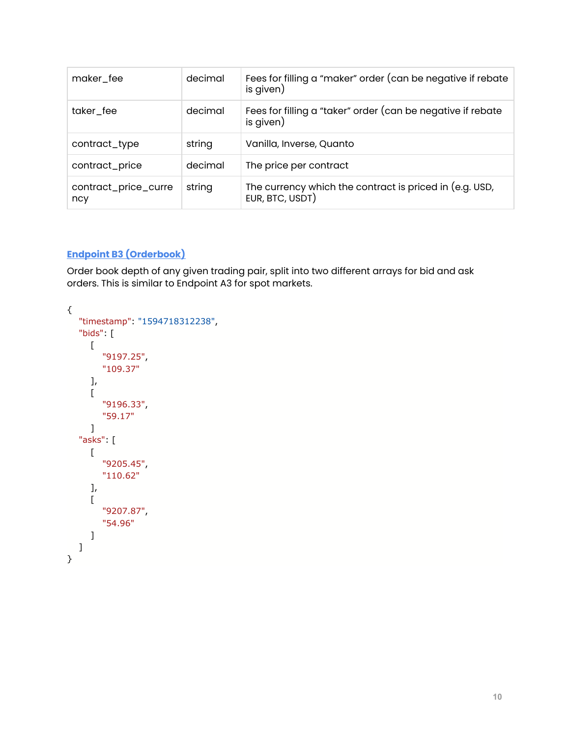| maker_fee                   | decimal | Fees for filling a "maker" order (can be negative if rebate<br>is given)   |
|-----------------------------|---------|----------------------------------------------------------------------------|
| taker_fee                   | decimal | Fees for filling a "taker" order (can be negative if rebate<br>is given)   |
| contract_type               | string  | Vanilla, Inverse, Quanto                                                   |
| contract_price              | decimal | The price per contract                                                     |
| contract_price_curre<br>ncy | string  | The currency which the contract is priced in (e.g. USD,<br>EUR, BTC, USDT) |

# **Endpoint B3 (Orderbook)**

Order book depth of any given trading pair, split into two different arrays for bid and ask orders. This is similar to Endpoint A3 for spot markets.

```
{
    "timestamp": "1594718312238",
    "bids": [
       [
          "9197.25",
          "109.37"
       ],
      \sqrt{ } "9196.33",
          "59.17"
       ]
    "asks": [
       [
          "9205.45",
          "110.62"
       ],
      \lceil "9207.87",
          "54.96"
       ]
   ]
}
```